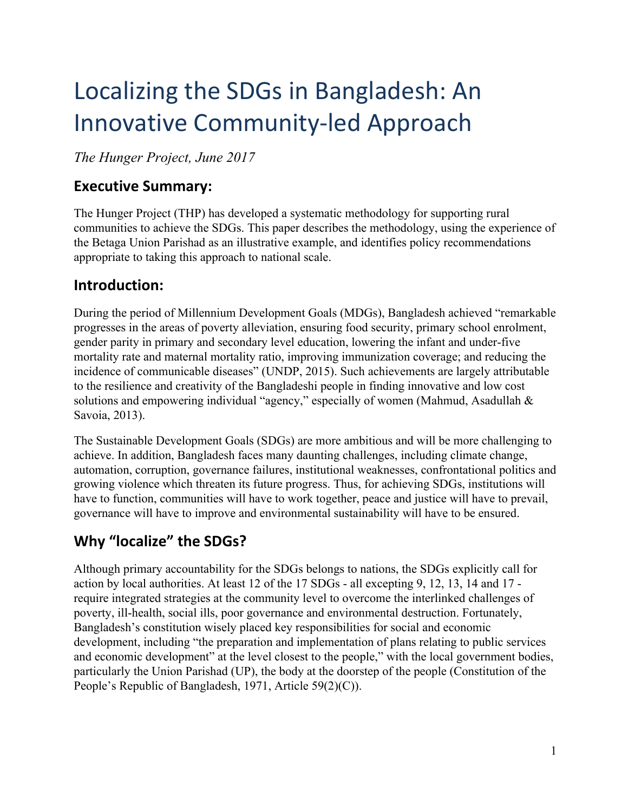# Localizing the SDGs in Bangladesh: An Innovative Community-led Approach

*The Hunger Project, June 2017*

## **Executive Summary:**

The Hunger Project (THP) has developed a systematic methodology for supporting rural communities to achieve the SDGs. This paper describes the methodology, using the experience of the Betaga Union Parishad as an illustrative example, and identifies policy recommendations appropriate to taking this approach to national scale.

### **Introduction:**

During the period of Millennium Development Goals (MDGs), Bangladesh achieved "remarkable progresses in the areas of poverty alleviation, ensuring food security, primary school enrolment, gender parity in primary and secondary level education, lowering the infant and under-five mortality rate and maternal mortality ratio, improving immunization coverage; and reducing the incidence of communicable diseases" (UNDP, 2015). Such achievements are largely attributable to the resilience and creativity of the Bangladeshi people in finding innovative and low cost solutions and empowering individual "agency," especially of women (Mahmud, Asadullah & Savoia, 2013).

The Sustainable Development Goals (SDGs) are more ambitious and will be more challenging to achieve. In addition, Bangladesh faces many daunting challenges, including climate change, automation, corruption, governance failures, institutional weaknesses, confrontational politics and growing violence which threaten its future progress. Thus, for achieving SDGs, institutions will have to function, communities will have to work together, peace and justice will have to prevail, governance will have to improve and environmental sustainability will have to be ensured.

# **Why "localize" the SDGs?**

Although primary accountability for the SDGs belongs to nations, the SDGs explicitly call for action by local authorities. At least 12 of the 17 SDGs - all excepting 9, 12, 13, 14 and 17 require integrated strategies at the community level to overcome the interlinked challenges of poverty, ill-health, social ills, poor governance and environmental destruction. Fortunately, Bangladesh's constitution wisely placed key responsibilities for social and economic development, including "the preparation and implementation of plans relating to public services and economic development" at the level closest to the people," with the local government bodies, particularly the Union Parishad (UP), the body at the doorstep of the people (Constitution of the People's Republic of Bangladesh, 1971, Article 59(2)(C)).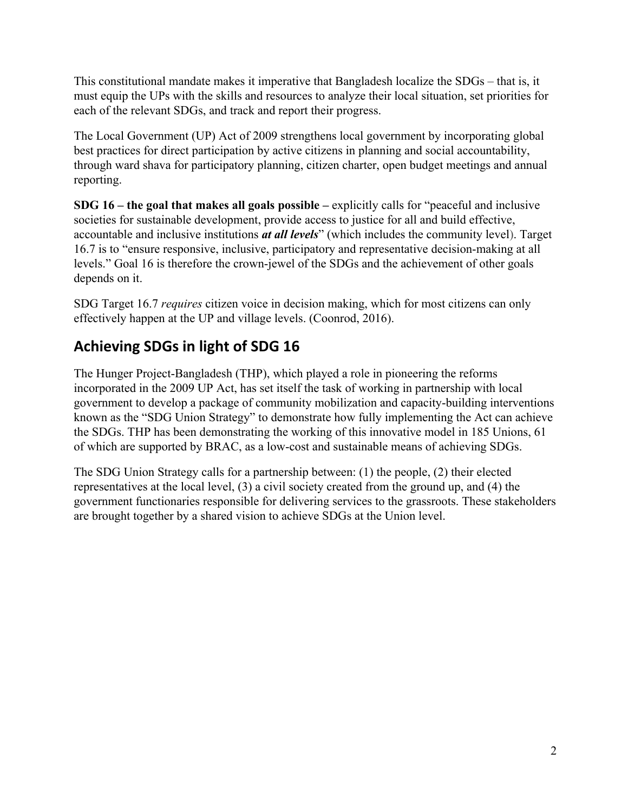This constitutional mandate makes it imperative that Bangladesh localize the SDGs – that is, it must equip the UPs with the skills and resources to analyze their local situation, set priorities for each of the relevant SDGs, and track and report their progress.

The Local Government (UP) Act of 2009 strengthens local government by incorporating global best practices for direct participation by active citizens in planning and social accountability, through ward shava for participatory planning, citizen charter, open budget meetings and annual reporting.

**SDG 16 – the goal that makes all goals possible –** explicitly calls for "peaceful and inclusive societies for sustainable development, provide access to justice for all and build effective, accountable and inclusive institutions *at all levels*" (which includes the community level). Target 16.7 is to "ensure responsive, inclusive, participatory and representative decision-making at all levels." Goal 16 is therefore the crown-jewel of the SDGs and the achievement of other goals depends on it.

SDG Target 16.7 *requires* citizen voice in decision making, which for most citizens can only effectively happen at the UP and village levels. (Coonrod, 2016).

# **Achieving SDGs in light of SDG 16**

The Hunger Project-Bangladesh (THP), which played a role in pioneering the reforms incorporated in the 2009 UP Act, has set itself the task of working in partnership with local government to develop a package of community mobilization and capacity-building interventions known as the "SDG Union Strategy" to demonstrate how fully implementing the Act can achieve the SDGs. THP has been demonstrating the working of this innovative model in 185 Unions, 61 of which are supported by BRAC, as a low-cost and sustainable means of achieving SDGs.

The SDG Union Strategy calls for a partnership between: (1) the people, (2) their elected representatives at the local level, (3) a civil society created from the ground up, and (4) the government functionaries responsible for delivering services to the grassroots. These stakeholders are brought together by a shared vision to achieve SDGs at the Union level.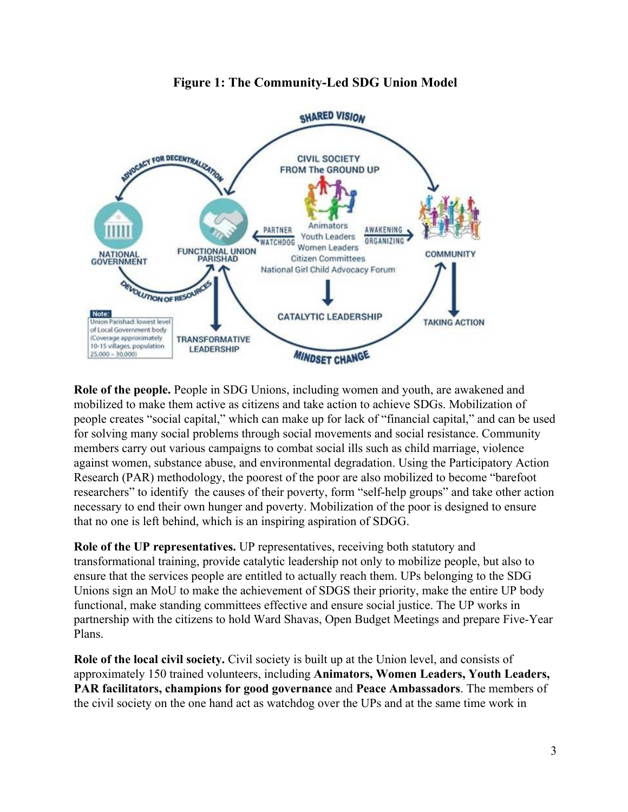

#### **Figure 1: The Community-Led SDG Union Model**

**Role of the people.** People in SDG Unions, including women and youth, are awakened and mobilized to make them active as citizens and take action to achieve SDGs. Mobilization of people creates "social capital," which can make up for lack of "financial capital," and can be used for solving many social problems through social movements and social resistance. Community members carry out various campaigns to combat social ills such as child marriage, violence against women, substance abuse, and environmental degradation. Using the Participatory Action Research (PAR) methodology, the poorest of the poor are also mobilized to become "barefoot researchers" to identify the causes of their poverty, form "self-help groups" and take other action necessary to end their own hunger and poverty. Mobilization of the poor is designed to ensure that no one is left behind, which is an inspiring aspiration of SDGG.

**Role of the UP representatives.** UP representatives, receiving both statutory and transformational training, provide catalytic leadership not only to mobilize people, but also to ensure that the services people are entitled to actually reach them. UPs belonging to the SDG Unions sign an MoU to make the achievement of SDGS their priority, make the entire UP body functional, make standing committees effective and ensure social justice. The UP works in partnership with the citizens to hold Ward Shavas, Open Budget Meetings and prepare Five-Year Plans.

**Role of the local civil society.** Civil society is built up at the Union level, and consists of approximately 150 trained volunteers, including **Animators, Women Leaders, Youth Leaders, PAR facilitators, champions for good governance** and **Peace Ambassadors**. The members of the civil society on the one hand act as watchdog over the UPs and at the same time work in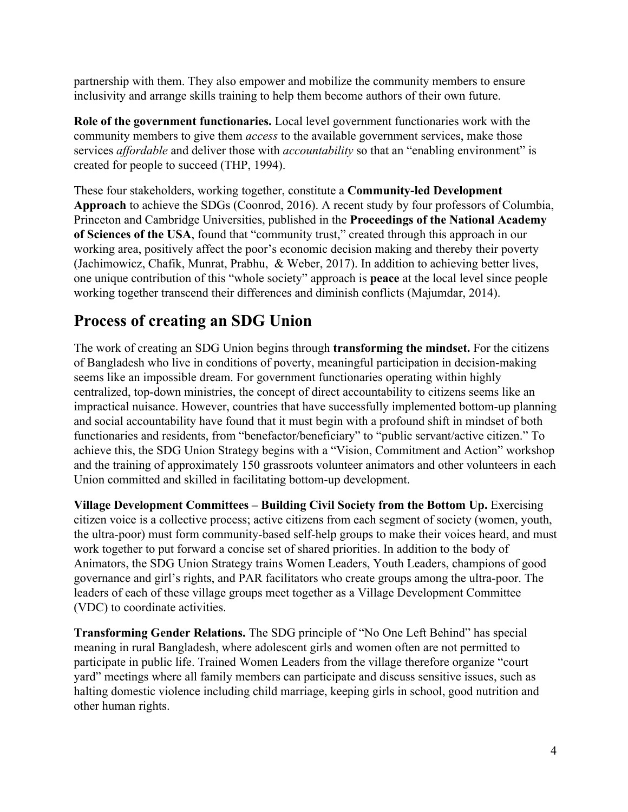partnership with them. They also empower and mobilize the community members to ensure inclusivity and arrange skills training to help them become authors of their own future.

**Role of the government functionaries.** Local level government functionaries work with the community members to give them *access* to the available government services, make those services *affordable* and deliver those with *accountability* so that an "enabling environment" is created for people to succeed (THP, 1994).

These four stakeholders, working together, constitute a **Community-led Development Approach** to achieve the SDGs (Coonrod, 2016). A recent study by four professors of Columbia, Princeton and Cambridge Universities, published in the **Proceedings of the National Academy of Sciences of the USA**, found that "community trust," created through this approach in our working area, positively affect the poor's economic decision making and thereby their poverty (Jachimowicz, Chafik, Munrat, Prabhu, & Weber, 2017). In addition to achieving better lives, one unique contribution of this "whole society" approach is **peace** at the local level since people working together transcend their differences and diminish conflicts (Majumdar, 2014).

# **Process of creating an SDG Union**

The work of creating an SDG Union begins through **transforming the mindset.** For the citizens of Bangladesh who live in conditions of poverty, meaningful participation in decision-making seems like an impossible dream. For government functionaries operating within highly centralized, top-down ministries, the concept of direct accountability to citizens seems like an impractical nuisance. However, countries that have successfully implemented bottom-up planning and social accountability have found that it must begin with a profound shift in mindset of both functionaries and residents, from "benefactor/beneficiary" to "public servant/active citizen." To achieve this, the SDG Union Strategy begins with a "Vision, Commitment and Action" workshop and the training of approximately 150 grassroots volunteer animators and other volunteers in each Union committed and skilled in facilitating bottom-up development.

**Village Development Committees – Building Civil Society from the Bottom Up. Exercising** citizen voice is a collective process; active citizens from each segment of society (women, youth, the ultra-poor) must form community-based self-help groups to make their voices heard, and must work together to put forward a concise set of shared priorities. In addition to the body of Animators, the SDG Union Strategy trains Women Leaders, Youth Leaders, champions of good governance and girl's rights, and PAR facilitators who create groups among the ultra-poor. The leaders of each of these village groups meet together as a Village Development Committee (VDC) to coordinate activities.

**Transforming Gender Relations.** The SDG principle of "No One Left Behind" has special meaning in rural Bangladesh, where adolescent girls and women often are not permitted to participate in public life. Trained Women Leaders from the village therefore organize "court yard" meetings where all family members can participate and discuss sensitive issues, such as halting domestic violence including child marriage, keeping girls in school, good nutrition and other human rights.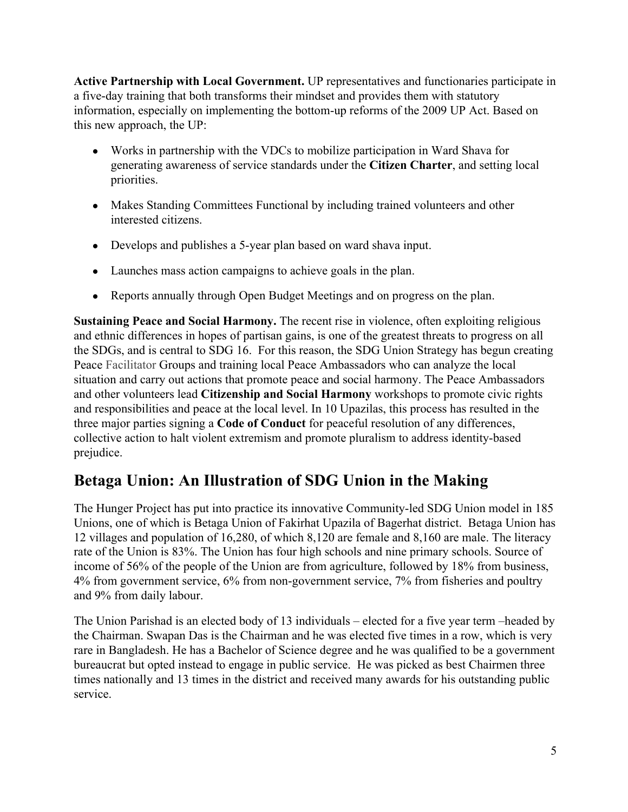**Active Partnership with Local Government.** UP representatives and functionaries participate in a five-day training that both transforms their mindset and provides them with statutory information, especially on implementing the bottom-up reforms of the 2009 UP Act. Based on this new approach, the UP:

- Works in partnership with the VDCs to mobilize participation in Ward Shava for generating awareness of service standards under the **Citizen Charter**, and setting local priorities.
- Makes Standing Committees Functional by including trained volunteers and other interested citizens.
- Develops and publishes a 5-year plan based on ward shava input.
- Launches mass action campaigns to achieve goals in the plan.
- Reports annually through Open Budget Meetings and on progress on the plan.

**Sustaining Peace and Social Harmony.** The recent rise in violence, often exploiting religious and ethnic differences in hopes of partisan gains, is one of the greatest threats to progress on all the SDGs, and is central to SDG 16. For this reason, the SDG Union Strategy has begun creating Peace Facilitator Groups and training local Peace Ambassadors who can analyze the local situation and carry out actions that promote peace and social harmony. The Peace Ambassadors and other volunteers lead **Citizenship and Social Harmony** workshops to promote civic rights and responsibilities and peace at the local level. In 10 Upazilas, this process has resulted in the three major parties signing a **Code of Conduct** for peaceful resolution of any differences, collective action to halt violent extremism and promote pluralism to address identity-based prejudice.

# **Betaga Union: An Illustration of SDG Union in the Making**

The Hunger Project has put into practice its innovative Community-led SDG Union model in 185 Unions, one of which is Betaga Union of Fakirhat Upazila of Bagerhat district. Betaga Union has 12 villages and population of 16,280, of which 8,120 are female and 8,160 are male. The literacy rate of the Union is 83%. The Union has four high schools and nine primary schools. Source of income of 56% of the people of the Union are from agriculture, followed by 18% from business, 4% from government service, 6% from non-government service, 7% from fisheries and poultry and 9% from daily labour.

The Union Parishad is an elected body of 13 individuals – elected for a five year term –headed by the Chairman. Swapan Das is the Chairman and he was elected five times in a row, which is very rare in Bangladesh. He has a Bachelor of Science degree and he was qualified to be a government bureaucrat but opted instead to engage in public service. He was picked as best Chairmen three times nationally and 13 times in the district and received many awards for his outstanding public service.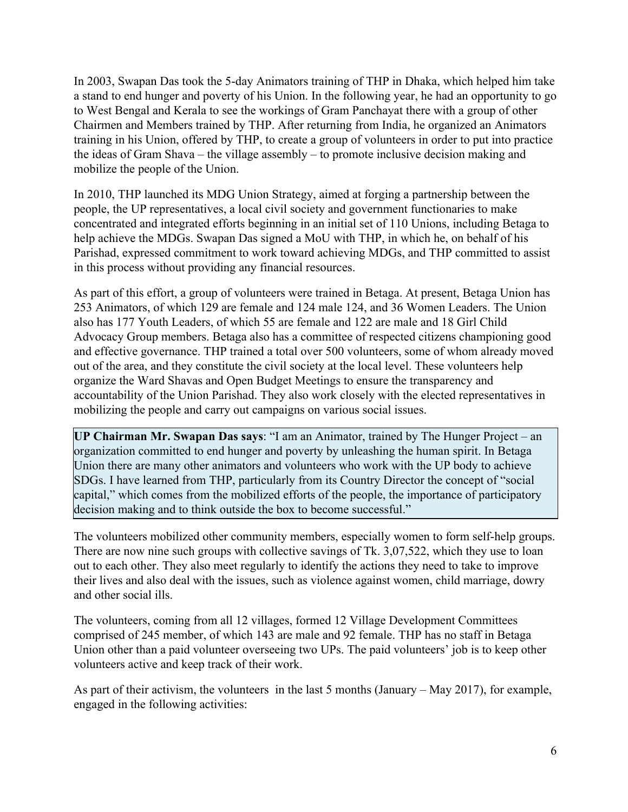In 2003, Swapan Das took the 5-day Animators training of THP in Dhaka, which helped him take a stand to end hunger and poverty of his Union. In the following year, he had an opportunity to go to West Bengal and Kerala to see the workings of Gram Panchayat there with a group of other Chairmen and Members trained by THP. After returning from India, he organized an Animators training in his Union, offered by THP, to create a group of volunteers in order to put into practice the ideas of Gram Shava – the village assembly – to promote inclusive decision making and mobilize the people of the Union.

In 2010, THP launched its MDG Union Strategy, aimed at forging a partnership between the people, the UP representatives, a local civil society and government functionaries to make concentrated and integrated efforts beginning in an initial set of 110 Unions, including Betaga to help achieve the MDGs. Swapan Das signed a MoU with THP, in which he, on behalf of his Parishad, expressed commitment to work toward achieving MDGs, and THP committed to assist in this process without providing any financial resources.

As part of this effort, a group of volunteers were trained in Betaga. At present, Betaga Union has 253 Animators, of which 129 are female and 124 male 124, and 36 Women Leaders. The Union also has 177 Youth Leaders, of which 55 are female and 122 are male and 18 Girl Child Advocacy Group members. Betaga also has a committee of respected citizens championing good and effective governance. THP trained a total over 500 volunteers, some of whom already moved out of the area, and they constitute the civil society at the local level. These volunteers help organize the Ward Shavas and Open Budget Meetings to ensure the transparency and accountability of the Union Parishad. They also work closely with the elected representatives in mobilizing the people and carry out campaigns on various social issues.

**UP Chairman Mr. Swapan Das says**: "I am an Animator, trained by The Hunger Project – an organization committed to end hunger and poverty by unleashing the human spirit. In Betaga Union there are many other animators and volunteers who work with the UP body to achieve SDGs. I have learned from THP, particularly from its Country Director the concept of "social capital," which comes from the mobilized efforts of the people, the importance of participatory decision making and to think outside the box to become successful."

The volunteers mobilized other community members, especially women to form self-help groups. There are now nine such groups with collective savings of Tk. 3,07,522, which they use to loan out to each other. They also meet regularly to identify the actions they need to take to improve their lives and also deal with the issues, such as violence against women, child marriage, dowry and other social ills.

The volunteers, coming from all 12 villages, formed 12 Village Development Committees comprised of 245 member, of which 143 are male and 92 female. THP has no staff in Betaga Union other than a paid volunteer overseeing two UPs. The paid volunteers' job is to keep other volunteers active and keep track of their work.

As part of their activism, the volunteers in the last 5 months (January – May 2017), for example, engaged in the following activities: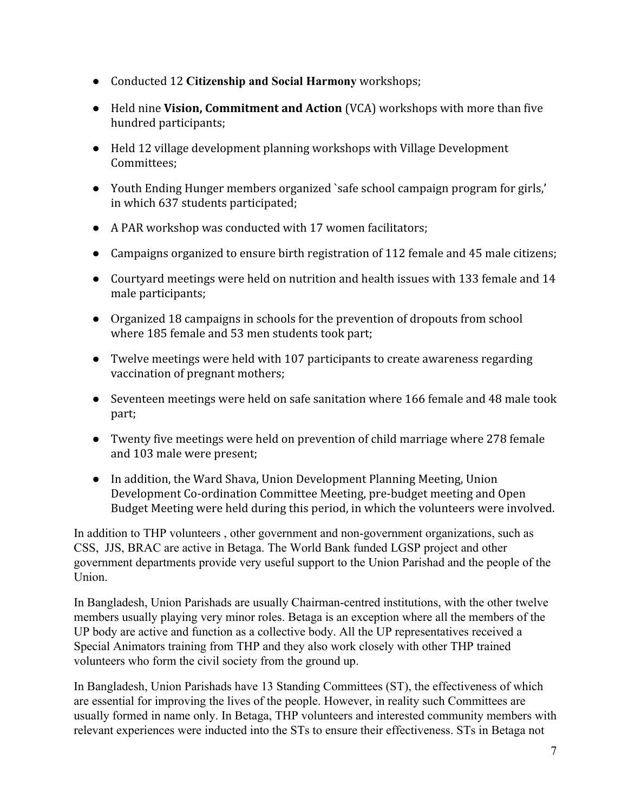- Conducted 12 **Citizenship and Social Harmony** workshops;
- Held nine **Vision, Commitment and Action** (VCA) workshops with more than five hundred participants;
- Held 12 village development planning workshops with Village Development Committees;
- Youth Ending Hunger members organized `safe school campaign program for girls,' in which 637 students participated;
- A PAR workshop was conducted with 17 women facilitators;
- Campaigns organized to ensure birth registration of 112 female and 45 male citizens;
- Courtyard meetings were held on nutrition and health issues with 133 female and 14 male participants;
- Organized 18 campaigns in schools for the prevention of dropouts from school where 185 female and 53 men students took part;
- Twelve meetings were held with 107 participants to create awareness regarding vaccination of pregnant mothers;
- Seventeen meetings were held on safe sanitation where 166 female and 48 male took part;
- Twenty five meetings were held on prevention of child marriage where 278 female and 103 male were present;
- In addition, the Ward Shava, Union Development Planning Meeting, Union Development Co-ordination Committee Meeting, pre-budget meeting and Open Budget Meeting were held during this period, in which the volunteers were involved.

In addition to THP volunteers , other government and non-government organizations, such as CSS, JJS, BRAC are active in Betaga. The World Bank funded LGSP project and other government departments provide very useful support to the Union Parishad and the people of the Union.

In Bangladesh, Union Parishads are usually Chairman-centred institutions, with the other twelve members usually playing very minor roles. Betaga is an exception where all the members of the UP body are active and function as a collective body. All the UP representatives received a Special Animators training from THP and they also work closely with other THP trained volunteers who form the civil society from the ground up.

In Bangladesh, Union Parishads have 13 Standing Committees (ST), the effectiveness of which are essential for improving the lives of the people. However, in reality such Committees are usually formed in name only. In Betaga, THP volunteers and interested community members with relevant experiences were inducted into the STs to ensure their effectiveness. STs in Betaga not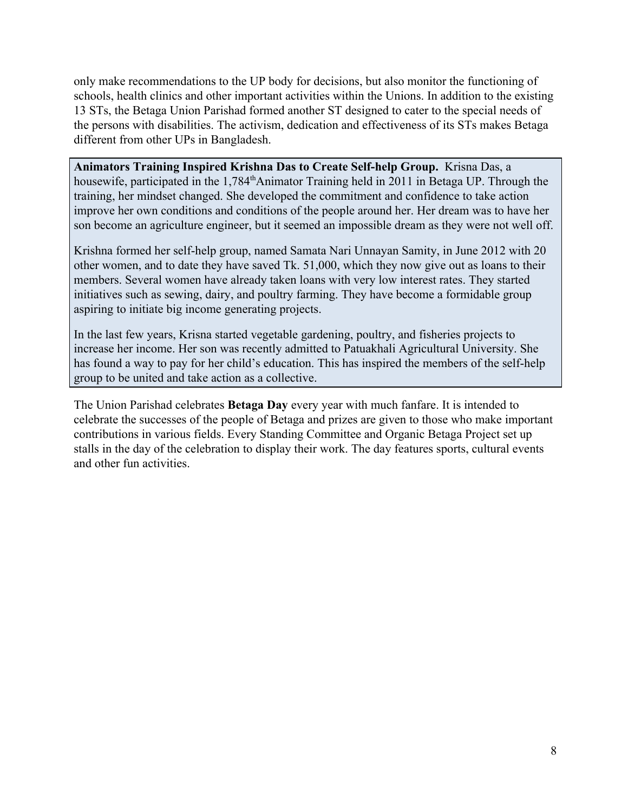only make recommendations to the UP body for decisions, but also monitor the functioning of schools, health clinics and other important activities within the Unions. In addition to the existing 13 STs, the Betaga Union Parishad formed another ST designed to cater to the special needs of the persons with disabilities. The activism, dedication and effectiveness of its STs makes Betaga different from other UPs in Bangladesh.

**Animators Training Inspired Krishna Das to Create Self-help Group.** Krisna Das, a housewife, participated in the 1,784<sup>th</sup>Animator Training held in 2011 in Betaga UP. Through the training, her mindset changed. She developed the commitment and confidence to take action improve her own conditions and conditions of the people around her. Her dream was to have her son become an agriculture engineer, but it seemed an impossible dream as they were not well off.

Krishna formed her self-help group, named Samata Nari Unnayan Samity, in June 2012 with 20 other women, and to date they have saved Tk. 51,000, which they now give out as loans to their members. Several women have already taken loans with very low interest rates. They started initiatives such as sewing, dairy, and poultry farming. They have become a formidable group aspiring to initiate big income generating projects.

In the last few years, Krisna started vegetable gardening, poultry, and fisheries projects to increase her income. Her son was recently admitted to Patuakhali Agricultural University. She has found a way to pay for her child's education. This has inspired the members of the self-help group to be united and take action as a collective.

The Union Parishad celebrates **Betaga Day** every year with much fanfare. It is intended to celebrate the successes of the people of Betaga and prizes are given to those who make important contributions in various fields. Every Standing Committee and Organic Betaga Project set up stalls in the day of the celebration to display their work. The day features sports, cultural events and other fun activities.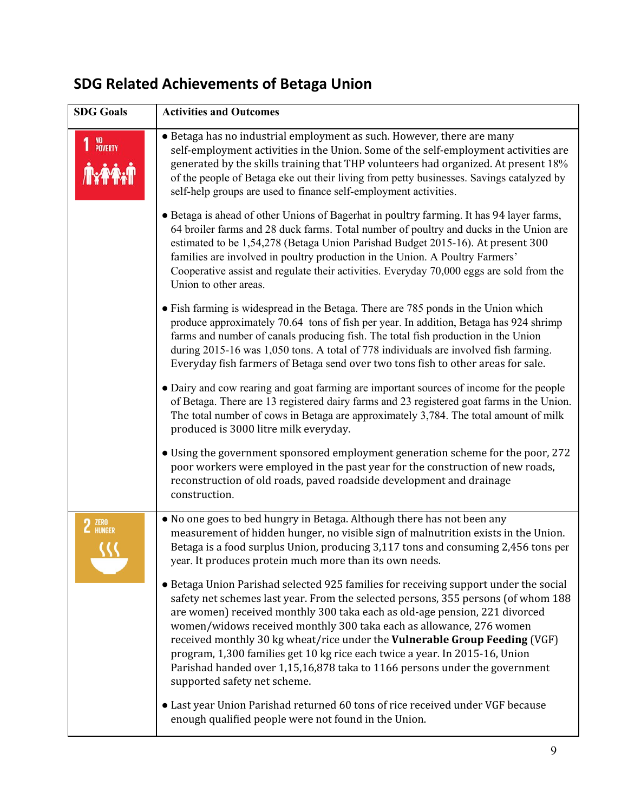#### **SDG Goals Activities and Outcomes** ● Betaga has no industrial employment as such. However, there are many 1 NO<sub>POVERTY</sub> self-employment activities in the Union. Some of the self-employment activities are generated by the skills training that THP volunteers had organized. At present 18% of the people of Betaga eke out their living from petty businesses. Savings catalyzed by self-help groups are used to finance self-employment activities. ● Betaga is ahead of other Unions of Bagerhat in poultry farming. It has 94 layer farms, 64 broiler farms and 28 duck farms. Total number of poultry and ducks in the Union are estimated to be 1,54,278 (Betaga Union Parishad Budget 2015-16). At present 300 families are involved in poultry production in the Union. A Poultry Farmers' Cooperative assist and regulate their activities. Everyday 70,000 eggs are sold from the Union to other areas. ● Fish farming is widespread in the Betaga. There are 785 ponds in the Union which produce approximately 70.64 tons of fish per year. In addition, Betaga has 924 shrimp farms and number of canals producing fish. The total fish production in the Union during 2015-16 was 1,050 tons. A total of 778 individuals are involved fish farming. Everyday fish farmers of Betaga send over two tons fish to other areas for sale. ● Dairy and cow rearing and goat farming are important sources of income for the people of Betaga. There are 13 registered dairy farms and 23 registered goat farms in the Union. The total number of cows in Betaga are approximately 3,784. The total amount of milk produced is 3000 litre milk everyday. ● Using the government sponsored employment generation scheme for the poor, 272 poor workers were employed in the past year for the construction of new roads, reconstruction of old roads, paved roadside development and drainage construction. • No one goes to bed hungry in Betaga. Although there has not been any 2 ZERO measurement of hidden hunger, no visible sign of malnutrition exists in the Union. Betaga is a food surplus Union, producing 3,117 tons and consuming 2,456 tons per year. It produces protein much more than its own needs. ● Betaga Union Parishad selected 925 families for receiving support under the social safety net schemes last year. From the selected persons, 355 persons (of whom 188 are women) received monthly 300 taka each as old-age pension, 221 divorced women/widows received monthly 300 taka each as allowance, 276 women received monthly 30 kg wheat/rice under the **Vulnerable Group Feeding** (VGF) program, 1,300 families get 10 kg rice each twice a year. In 2015-16, Union Parishad handed over 1,15,16,878 taka to 1166 persons under the government supported safety net scheme. ● Last year Union Parishad returned 60 tons of rice received under VGF because enough qualified people were not found in the Union.

# **SDG Related Achievements of Betaga Union**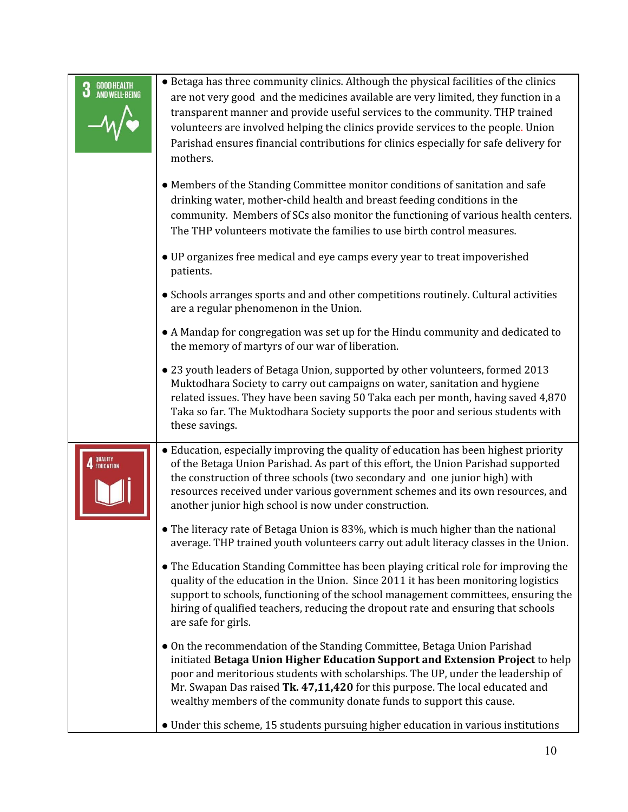| <b>GOOD HEALTH<br/>AND WELL-BEING</b><br>3 | • Betaga has three community clinics. Although the physical facilities of the clinics<br>are not very good and the medicines available are very limited, they function in a<br>transparent manner and provide useful services to the community. THP trained<br>volunteers are involved helping the clinics provide services to the people. Union<br>Parishad ensures financial contributions for clinics especially for safe delivery for<br>mothers. |
|--------------------------------------------|-------------------------------------------------------------------------------------------------------------------------------------------------------------------------------------------------------------------------------------------------------------------------------------------------------------------------------------------------------------------------------------------------------------------------------------------------------|
|                                            | • Members of the Standing Committee monitor conditions of sanitation and safe<br>drinking water, mother-child health and breast feeding conditions in the<br>community. Members of SCs also monitor the functioning of various health centers.<br>The THP volunteers motivate the families to use birth control measures.                                                                                                                             |
|                                            | • UP organizes free medical and eye camps every year to treat impoverished<br>patients.                                                                                                                                                                                                                                                                                                                                                               |
|                                            | • Schools arranges sports and and other competitions routinely. Cultural activities<br>are a regular phenomenon in the Union.                                                                                                                                                                                                                                                                                                                         |
|                                            | • A Mandap for congregation was set up for the Hindu community and dedicated to<br>the memory of martyrs of our war of liberation.                                                                                                                                                                                                                                                                                                                    |
|                                            | • 23 youth leaders of Betaga Union, supported by other volunteers, formed 2013<br>Muktodhara Society to carry out campaigns on water, sanitation and hygiene<br>related issues. They have been saving 50 Taka each per month, having saved 4,870<br>Taka so far. The Muktodhara Society supports the poor and serious students with<br>these savings.                                                                                                 |
| <b>4</b> QUALITY<br><b>4</b> Education     | • Education, especially improving the quality of education has been highest priority<br>of the Betaga Union Parishad. As part of this effort, the Union Parishad supported<br>the construction of three schools (two secondary and one junior high) with<br>resources received under various government schemes and its own resources, and<br>another junior high school is now under construction.                                                   |
|                                            | • The literacy rate of Betaga Union is 83%, which is much higher than the national<br>average. THP trained youth volunteers carry out adult literacy classes in the Union.                                                                                                                                                                                                                                                                            |
|                                            | • The Education Standing Committee has been playing critical role for improving the<br>quality of the education in the Union. Since 2011 it has been monitoring logistics<br>support to schools, functioning of the school management committees, ensuring the<br>hiring of qualified teachers, reducing the dropout rate and ensuring that schools<br>are safe for girls.                                                                            |
|                                            | • On the recommendation of the Standing Committee, Betaga Union Parishad<br>initiated Betaga Union Higher Education Support and Extension Project to help<br>poor and meritorious students with scholarships. The UP, under the leadership of<br>Mr. Swapan Das raised Tk. 47,11,420 for this purpose. The local educated and<br>wealthy members of the community donate funds to support this cause.                                                 |
|                                            | • Under this scheme, 15 students pursuing higher education in various institutions                                                                                                                                                                                                                                                                                                                                                                    |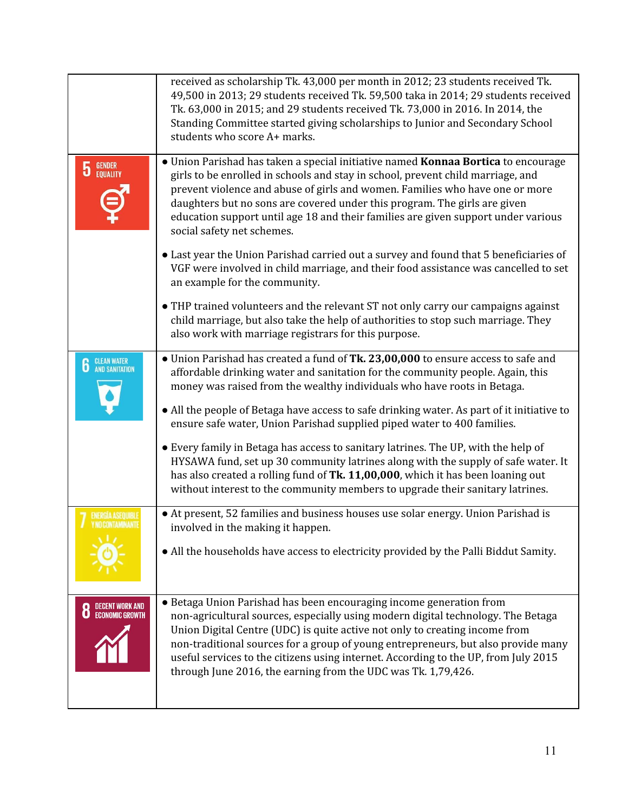|                                           | received as scholarship Tk. 43,000 per month in 2012; 23 students received Tk.<br>49,500 in 2013; 29 students received Tk. 59,500 taka in 2014; 29 students received<br>Tk. 63,000 in 2015; and 29 students received Tk. 73,000 in 2016. In 2014, the<br>Standing Committee started giving scholarships to Junior and Secondary School<br>students who score A+ marks.                                                                                                              |
|-------------------------------------------|-------------------------------------------------------------------------------------------------------------------------------------------------------------------------------------------------------------------------------------------------------------------------------------------------------------------------------------------------------------------------------------------------------------------------------------------------------------------------------------|
| <b>GENDER</b><br>EQUALITY<br>5            | · Union Parishad has taken a special initiative named Konnaa Bortica to encourage<br>girls to be enrolled in schools and stay in school, prevent child marriage, and<br>prevent violence and abuse of girls and women. Families who have one or more<br>daughters but no sons are covered under this program. The girls are given<br>education support until age 18 and their families are given support under various<br>social safety net schemes.                                |
|                                           | • Last year the Union Parishad carried out a survey and found that 5 beneficiaries of<br>VGF were involved in child marriage, and their food assistance was cancelled to set<br>an example for the community.                                                                                                                                                                                                                                                                       |
|                                           | • THP trained volunteers and the relevant ST not only carry our campaigns against<br>child marriage, but also take the help of authorities to stop such marriage. They<br>also work with marriage registrars for this purpose.                                                                                                                                                                                                                                                      |
| <b>CLEAN WATER</b><br>AND SANITATION<br>6 | • Union Parishad has created a fund of Tk. 23,00,000 to ensure access to safe and<br>affordable drinking water and sanitation for the community people. Again, this<br>money was raised from the wealthy individuals who have roots in Betaga.                                                                                                                                                                                                                                      |
|                                           | • All the people of Betaga have access to safe drinking water. As part of it initiative to<br>ensure safe water, Union Parishad supplied piped water to 400 families.                                                                                                                                                                                                                                                                                                               |
|                                           | • Every family in Betaga has access to sanitary latrines. The UP, with the help of<br>HYSAWA fund, set up 30 community latrines along with the supply of safe water. It<br>has also created a rolling fund of Tk. 11,00,000, which it has been loaning out<br>without interest to the community members to upgrade their sanitary latrines.                                                                                                                                         |
| ENERGIA ASEOUIBI<br>I NO CONTAMINANT      | • At present, 52 families and business houses use solar energy. Union Parishad is<br>involved in the making it happen.                                                                                                                                                                                                                                                                                                                                                              |
|                                           | • All the households have access to electricity provided by the Palli Biddut Samity.                                                                                                                                                                                                                                                                                                                                                                                                |
|                                           | • Betaga Union Parishad has been encouraging income generation from<br>non-agricultural sources, especially using modern digital technology. The Betaga<br>Union Digital Centre (UDC) is quite active not only to creating income from<br>non-traditional sources for a group of young entrepreneurs, but also provide many<br>useful services to the citizens using internet. According to the UP, from July 2015<br>through June 2016, the earning from the UDC was Tk. 1,79,426. |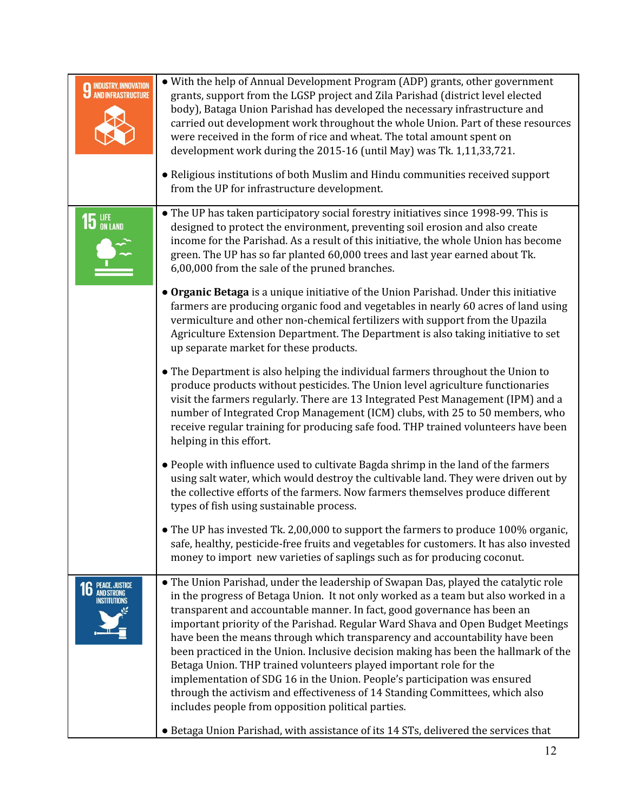| <b>INDUSTRY, INNOVATION</b><br><b>AND INFRASTRUCTURE</b> | • With the help of Annual Development Program (ADP) grants, other government<br>grants, support from the LGSP project and Zila Parishad (district level elected<br>body), Bataga Union Parishad has developed the necessary infrastructure and<br>carried out development work throughout the whole Union. Part of these resources<br>were received in the form of rice and wheat. The total amount spent on<br>development work during the 2015-16 (until May) was Tk. 1,11,33,721.                                                                                                                                                                                                                                                                                                                    |
|----------------------------------------------------------|---------------------------------------------------------------------------------------------------------------------------------------------------------------------------------------------------------------------------------------------------------------------------------------------------------------------------------------------------------------------------------------------------------------------------------------------------------------------------------------------------------------------------------------------------------------------------------------------------------------------------------------------------------------------------------------------------------------------------------------------------------------------------------------------------------|
|                                                          | • Religious institutions of both Muslim and Hindu communities received support<br>from the UP for infrastructure development.                                                                                                                                                                                                                                                                                                                                                                                                                                                                                                                                                                                                                                                                           |
| 15 LIFE                                                  | • The UP has taken participatory social forestry initiatives since 1998-99. This is<br>designed to protect the environment, preventing soil erosion and also create<br>income for the Parishad. As a result of this initiative, the whole Union has become<br>green. The UP has so far planted 60,000 trees and last year earned about Tk.<br>6,00,000 from the sale of the pruned branches.                                                                                                                                                                                                                                                                                                                                                                                                            |
|                                                          | • Organic Betaga is a unique initiative of the Union Parishad. Under this initiative<br>farmers are producing organic food and vegetables in nearly 60 acres of land using<br>vermiculture and other non-chemical fertilizers with support from the Upazila<br>Agriculture Extension Department. The Department is also taking initiative to set<br>up separate market for these products.                                                                                                                                                                                                                                                                                                                                                                                                              |
|                                                          | • The Department is also helping the individual farmers throughout the Union to<br>produce products without pesticides. The Union level agriculture functionaries<br>visit the farmers regularly. There are 13 Integrated Pest Management (IPM) and a<br>number of Integrated Crop Management (ICM) clubs, with 25 to 50 members, who<br>receive regular training for producing safe food. THP trained volunteers have been<br>helping in this effort.                                                                                                                                                                                                                                                                                                                                                  |
|                                                          | • People with influence used to cultivate Bagda shrimp in the land of the farmers<br>using salt water, which would destroy the cultivable land. They were driven out by<br>the collective efforts of the farmers. Now farmers themselves produce different<br>types of fish using sustainable process.                                                                                                                                                                                                                                                                                                                                                                                                                                                                                                  |
|                                                          | • The UP has invested Tk. 2,00,000 to support the farmers to produce 100% organic,<br>safe, healthy, pesticide-free fruits and vegetables for customers. It has also invested<br>money to import new varieties of saplings such as for producing coconut.                                                                                                                                                                                                                                                                                                                                                                                                                                                                                                                                               |
| PEACE, JUSTICE<br>AND STRONG<br>INSTITUTIONS             | • The Union Parishad, under the leadership of Swapan Das, played the catalytic role<br>in the progress of Betaga Union. It not only worked as a team but also worked in a<br>transparent and accountable manner. In fact, good governance has been an<br>important priority of the Parishad. Regular Ward Shava and Open Budget Meetings<br>have been the means through which transparency and accountability have been<br>been practiced in the Union. Inclusive decision making has been the hallmark of the<br>Betaga Union. THP trained volunteers played important role for the<br>implementation of SDG 16 in the Union. People's participation was ensured<br>through the activism and effectiveness of 14 Standing Committees, which also<br>includes people from opposition political parties. |
|                                                          | • Betaga Union Parishad, with assistance of its 14 STs, delivered the services that                                                                                                                                                                                                                                                                                                                                                                                                                                                                                                                                                                                                                                                                                                                     |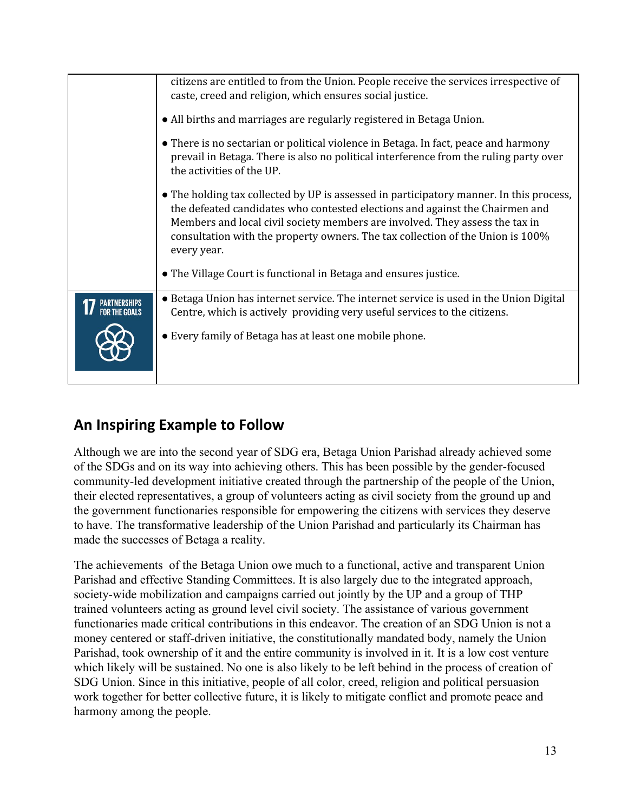|                               | citizens are entitled to from the Union. People receive the services irrespective of<br>caste, creed and religion, which ensures social justice.<br>• All births and marriages are regularly registered in Betaga Union.                                                                                                                                 |
|-------------------------------|----------------------------------------------------------------------------------------------------------------------------------------------------------------------------------------------------------------------------------------------------------------------------------------------------------------------------------------------------------|
|                               |                                                                                                                                                                                                                                                                                                                                                          |
|                               | • There is no sectarian or political violence in Betaga. In fact, peace and harmony<br>prevail in Betaga. There is also no political interference from the ruling party over<br>the activities of the UP.                                                                                                                                                |
|                               | • The holding tax collected by UP is assessed in participatory manner. In this process,<br>the defeated candidates who contested elections and against the Chairmen and<br>Members and local civil society members are involved. They assess the tax in<br>consultation with the property owners. The tax collection of the Union is 100%<br>every year. |
|                               | • The Village Court is functional in Betaga and ensures justice.                                                                                                                                                                                                                                                                                         |
| PARTNERSHIPS<br>For the Goals | • Betaga Union has internet service. The internet service is used in the Union Digital<br>Centre, which is actively providing very useful services to the citizens.                                                                                                                                                                                      |
|                               | • Every family of Betaga has at least one mobile phone.                                                                                                                                                                                                                                                                                                  |

# **An Inspiring Example to Follow**

Although we are into the second year of SDG era, Betaga Union Parishad already achieved some of the SDGs and on its way into achieving others. This has been possible by the gender-focused community-led development initiative created through the partnership of the people of the Union, their elected representatives, a group of volunteers acting as civil society from the ground up and the government functionaries responsible for empowering the citizens with services they deserve to have. The transformative leadership of the Union Parishad and particularly its Chairman has made the successes of Betaga a reality.

The achievements of the Betaga Union owe much to a functional, active and transparent Union Parishad and effective Standing Committees. It is also largely due to the integrated approach, society-wide mobilization and campaigns carried out jointly by the UP and a group of THP trained volunteers acting as ground level civil society. The assistance of various government functionaries made critical contributions in this endeavor. The creation of an SDG Union is not a money centered or staff-driven initiative, the constitutionally mandated body, namely the Union Parishad, took ownership of it and the entire community is involved in it. It is a low cost venture which likely will be sustained. No one is also likely to be left behind in the process of creation of SDG Union. Since in this initiative, people of all color, creed, religion and political persuasion work together for better collective future, it is likely to mitigate conflict and promote peace and harmony among the people.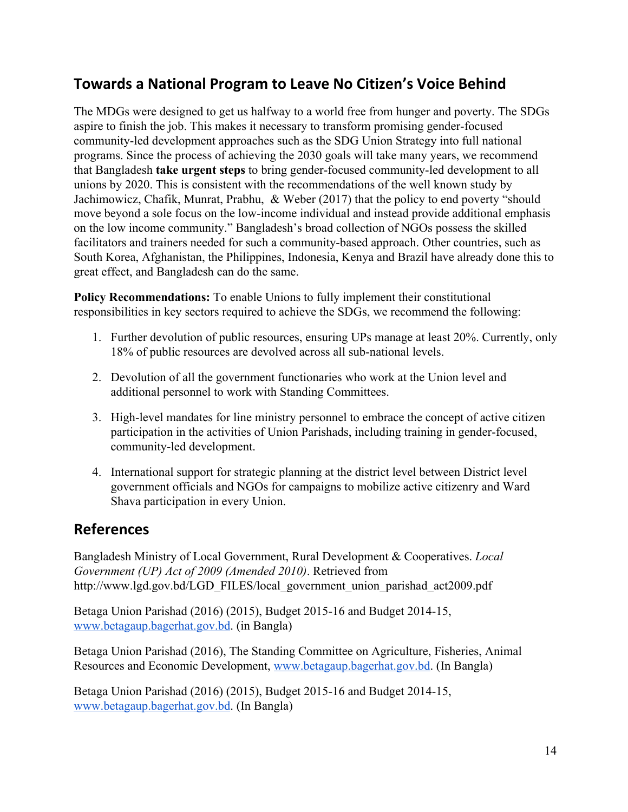# **Towards a National Program to Leave No Citizen's Voice Behind**

The MDGs were designed to get us halfway to a world free from hunger and poverty. The SDGs aspire to finish the job. This makes it necessary to transform promising gender-focused community-led development approaches such as the SDG Union Strategy into full national programs. Since the process of achieving the 2030 goals will take many years, we recommend that Bangladesh **take urgent steps** to bring gender-focused community-led development to all unions by 2020. This is consistent with the recommendations of the well known study by Jachimowicz, Chafik, Munrat, Prabhu, & Weber (2017) that the policy to end poverty "should move beyond a sole focus on the low-income individual and instead provide additional emphasis on the low income community." Bangladesh's broad collection of NGOs possess the skilled facilitators and trainers needed for such a community-based approach. Other countries, such as South Korea, Afghanistan, the Philippines, Indonesia, Kenya and Brazil have already done this to great effect, and Bangladesh can do the same.

**Policy Recommendations:** To enable Unions to fully implement their constitutional responsibilities in key sectors required to achieve the SDGs, we recommend the following:

- 1. Further devolution of public resources, ensuring UPs manage at least 20%. Currently, only 18% of public resources are devolved across all sub-national levels.
- 2. Devolution of all the government functionaries who work at the Union level and additional personnel to work with Standing Committees.
- 3. High-level mandates for line ministry personnel to embrace the concept of active citizen participation in the activities of Union Parishads, including training in gender-focused, community-led development.
- 4. International support for strategic planning at the district level between District level government officials and NGOs for campaigns to mobilize active citizenry and Ward Shava participation in every Union.

# **References**

Bangladesh Ministry of Local Government, Rural Development & Cooperatives. *Local Government (UP) Act of 2009 (Amended 2010)*. Retrieved from http://www.lgd.gov.bd/LGD\_FILES/local\_government\_union\_parishad\_act2009.pdf

Betaga Union Parishad (2016) (2015), Budget 2015-16 and Budget 2014-15, [www.betagaup.bagerhat.gov.bd.](http://www.betagaup.bagerhat.gov.bd/) (in Bangla)

Betaga Union Parishad (2016), The Standing Committee on Agriculture, Fisheries, Animal Resources and Economic Development, [www.betagaup.bagerhat.gov.bd.](http://www.betagaup.bagerhat.gov.bd/) (In Bangla)

Betaga Union Parishad (2016) (2015), Budget 2015-16 and Budget 2014-15, [www.betagaup.bagerhat.gov.bd.](http://www.betagaup.bagerhat.gov.bd/) (In Bangla)